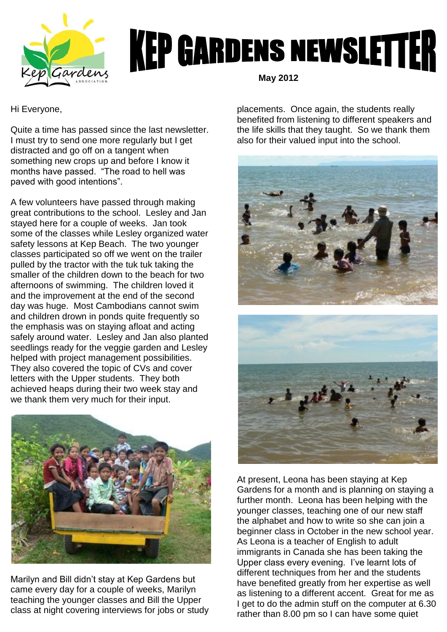

## **KEP GARDENS NEWSLETTER**

Hi Everyone,

Quite a time has passed since the last newsletter. I must try to send one more regularly but I get distracted and go off on a tangent when something new crops up and before I know it months have passed. "The road to hell was paved with good intentions".

A few volunteers have passed through making great contributions to the school. Lesley and Jan stayed here for a couple of weeks. Jan took some of the classes while Lesley organized water safety lessons at Kep Beach. The two younger classes participated so off we went on the trailer pulled by the tractor with the tuk tuk taking the smaller of the children down to the beach for two afternoons of swimming. The children loved it and the improvement at the end of the second day was huge. Most Cambodians cannot swim and children drown in ponds quite frequently so the emphasis was on staying afloat and acting safely around water. Lesley and Jan also planted seedlings ready for the veggie garden and Lesley helped with project management possibilities. They also covered the topic of CVs and cover letters with the Upper students. They both achieved heaps during their two week stay and we thank them very much for their input.



Marilyn and Bill didn't stay at Kep Gardens but came every day for a couple of weeks, Marilyn teaching the younger classes and Bill the Upper class at night covering interviews for jobs or study  **May 2012**

placements. Once again, the students really benefited from listening to different speakers and the life skills that they taught. So we thank them also for their valued input into the school.



At present, Leona has been staying at Kep Gardens for a month and is planning on staying a further month. Leona has been helping with the younger classes, teaching one of our new staff the alphabet and how to write so she can join a beginner class in October in the new school year. As Leona is a teacher of English to adult immigrants in Canada she has been taking the Upper class every evening. I've learnt lots of different techniques from her and the students have benefited greatly from her expertise as well as listening to a different accent. Great for me as I get to do the admin stuff on the computer at 6.30 rather than 8.00 pm so I can have some quiet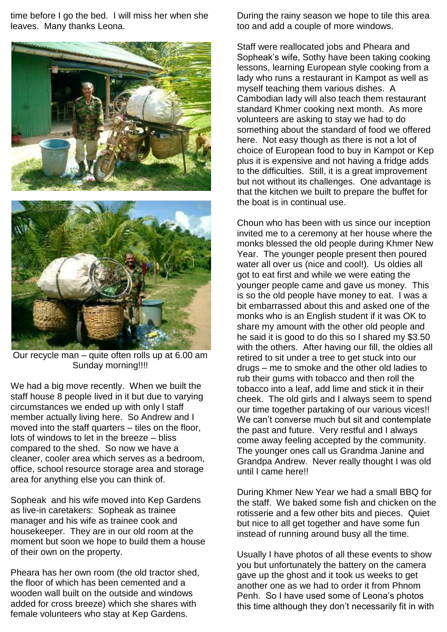time before I go the bed. I will miss her when she leaves. Many thanks Leona.



Our recycle man – quite often rolls up at 6.00 am Sunday morning!!!!

We had a big move recently. When we built the staff house 8 people lived in it but due to varying circumstances we ended up with only l staff member actually living here. So Andrew and I moved into the staff quarters – tiles on the floor, lots of windows to let in the breeze – bliss compared to the shed. So now we have a cleaner, cooler area which serves as a bedroom, office, school resource storage area and storage area for anything else you can think of.

Sopheak and his wife moved into Kep Gardens as live-in caretakers: Sopheak as trainee manager and his wife as trainee cook and housekeeper. They are in our old room at the moment but soon we hope to build them a house of their own on the property.

Pheara has her own room (the old tractor shed, the floor of which has been cemented and a wooden wall built on the outside and windows added for cross breeze) which she shares with female volunteers who stay at Kep Gardens.

During the rainy season we hope to tile this area too and add a couple of more windows.

Staff were reallocated jobs and Pheara and Sopheak's wife, Sothy have been taking cooking lessons, learning European style cooking from a lady who runs a restaurant in Kampot as well as myself teaching them various dishes. A Cambodian lady will also teach them restaurant standard Khmer cooking next month. As more volunteers are asking to stay we had to do something about the standard of food we offered here. Not easy though as there is not a lot of choice of European food to buy in Kampot or Kep plus it is expensive and not having a fridge adds to the difficulties. Still, it is a great improvement but not without its challenges. One advantage is that the kitchen we built to prepare the buffet for the boat is in continual use.

Choun who has been with us since our inception invited me to a ceremony at her house where the monks blessed the old people during Khmer New Year. The younger people present then poured water all over us (nice and cool!). Us oldies all got to eat first and while we were eating the younger people came and gave us money. This is so the old people have money to eat. I was a bit embarrassed about this and asked one of the monks who is an English student if it was OK to share my amount with the other old people and he said it is good to do this so I shared my \$3.50 with the others. After having our fill, the oldies all retired to sit under a tree to get stuck into our drugs – me to smoke and the other old ladies to rub their gums with tobacco and then roll the tobacco into a leaf, add lime and stick it in their cheek. The old girls and I always seem to spend our time together partaking of our various vices!! We can't converse much but sit and contemplate the past and future. Very restful and I always come away feeling accepted by the community. The younger ones call us Grandma Janine and Grandpa Andrew. Never really thought I was old until I came here!!

During Khmer New Year we had a small BBQ for the staff. We baked some fish and chicken on the rotisserie and a few other bits and pieces. Quiet but nice to all get together and have some fun instead of running around busy all the time.

Usually I have photos of all these events to show you but unfortunately the battery on the camera gave up the ghost and it took us weeks to get another one as we had to order it from Phnom Penh. So I have used some of Leona's photos this time although they don't necessarily fit in with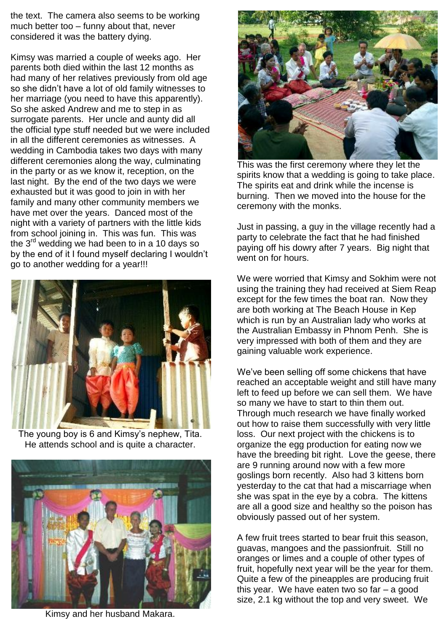the text. The camera also seems to be working much better too – funny about that, never considered it was the battery dying.

Kimsy was married a couple of weeks ago. Her parents both died within the last 12 months as had many of her relatives previously from old age so she didn't have a lot of old family witnesses to her marriage (you need to have this apparently). So she asked Andrew and me to step in as surrogate parents. Her uncle and aunty did all the official type stuff needed but we were included in all the different ceremonies as witnesses. A wedding in Cambodia takes two days with many different ceremonies along the way, culminating in the party or as we know it, reception, on the last night. By the end of the two days we were exhausted but it was good to join in with her family and many other community members we have met over the years. Danced most of the night with a variety of partners with the little kids from school joining in. This was fun. This was the 3<sup>rd</sup> wedding we had been to in a 10 days so by the end of it I found myself declaring I wouldn't go to another wedding for a year!!!



The young boy is 6 and Kimsy's nephew, Tita. He attends school and is quite a character.



Kimsy and her husband Makara.



This was the first ceremony where they let the spirits know that a wedding is going to take place. The spirits eat and drink while the incense is burning. Then we moved into the house for the ceremony with the monks.

Just in passing, a guy in the village recently had a party to celebrate the fact that he had finished paying off his dowry after 7 years. Big night that went on for hours.

We were worried that Kimsy and Sokhim were not using the training they had received at Siem Reap except for the few times the boat ran. Now they are both working at The Beach House in Kep which is run by an Australian lady who works at the Australian Embassy in Phnom Penh. She is very impressed with both of them and they are gaining valuable work experience.

We've been selling off some chickens that have reached an acceptable weight and still have many left to feed up before we can sell them. We have so many we have to start to thin them out. Through much research we have finally worked out how to raise them successfully with very little loss. Our next project with the chickens is to organize the egg production for eating now we have the breeding bit right. Love the geese, there are 9 running around now with a few more goslings born recently. Also had 3 kittens born yesterday to the cat that had a miscarriage when she was spat in the eye by a cobra. The kittens are all a good size and healthy so the poison has obviously passed out of her system.

A few fruit trees started to bear fruit this season, guavas, mangoes and the passionfruit. Still no oranges or limes and a couple of other types of fruit, hopefully next year will be the year for them. Quite a few of the pineapples are producing fruit this year. We have eaten two so far – a good size, 2.1 kg without the top and very sweet. We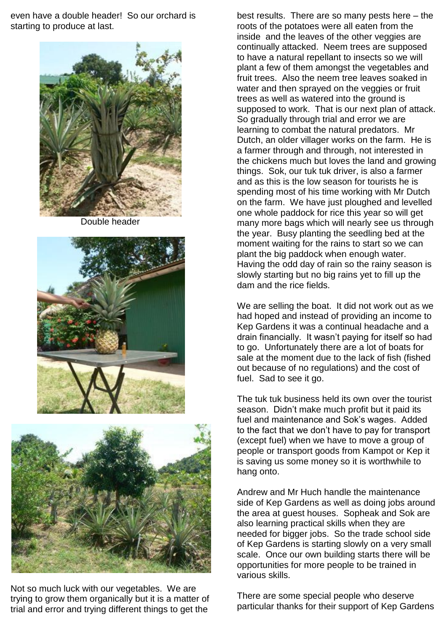even have a double header! So our orchard is starting to produce at last.



Double header





Not so much luck with our vegetables. We are trying to grow them organically but it is a matter of trial and error and trying different things to get the

best results. There are so many pests here – the roots of the potatoes were all eaten from the inside and the leaves of the other veggies are continually attacked. Neem trees are supposed to have a natural repellant to insects so we will plant a few of them amongst the vegetables and fruit trees. Also the neem tree leaves soaked in water and then sprayed on the veggies or fruit trees as well as watered into the ground is supposed to work. That is our next plan of attack. So gradually through trial and error we are learning to combat the natural predators. Mr Dutch, an older villager works on the farm. He is a farmer through and through, not interested in the chickens much but loves the land and growing things. Sok, our tuk tuk driver, is also a farmer and as this is the low season for tourists he is spending most of his time working with Mr Dutch on the farm. We have just ploughed and levelled one whole paddock for rice this year so will get many more bags which will nearly see us through the year. Busy planting the seedling bed at the moment waiting for the rains to start so we can plant the big paddock when enough water. Having the odd day of rain so the rainy season is slowly starting but no big rains yet to fill up the dam and the rice fields.

We are selling the boat. It did not work out as we had hoped and instead of providing an income to Kep Gardens it was a continual headache and a drain financially. It wasn't paying for itself so had to go. Unfortunately there are a lot of boats for sale at the moment due to the lack of fish (fished out because of no regulations) and the cost of fuel. Sad to see it go.

The tuk tuk business held its own over the tourist season. Didn't make much profit but it paid its fuel and maintenance and Sok's wages. Added to the fact that we don't have to pay for transport (except fuel) when we have to move a group of people or transport goods from Kampot or Kep it is saving us some money so it is worthwhile to hang onto.

Andrew and Mr Huch handle the maintenance side of Kep Gardens as well as doing jobs around the area at guest houses. Sopheak and Sok are also learning practical skills when they are needed for bigger jobs. So the trade school side of Kep Gardens is starting slowly on a very small scale. Once our own building starts there will be opportunities for more people to be trained in various skills.

There are some special people who deserve particular thanks for their support of Kep Gardens